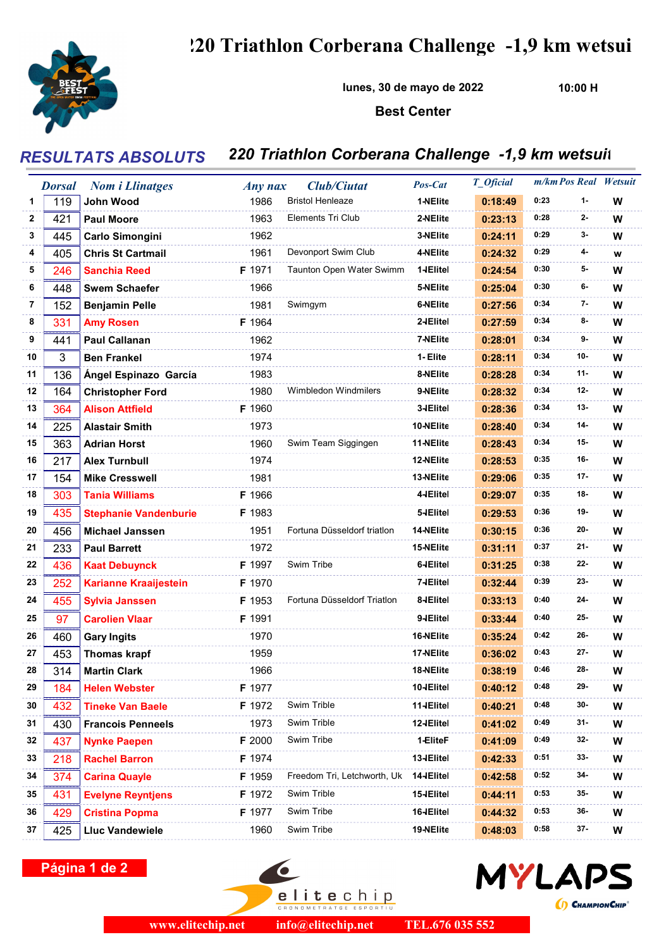## 20 Triathlon Corberana Challenge -1,9 km wetsui



lunes, 30 de mayo de 2022

10:00 H

Best Center

## RESULTATS ABSOLUTS 220 Triathlon Corberana Challenge -1,9 km wetsuit

|    | <b>Dorsal</b> | <b>Nom i Llinatges</b>       | Any nax | <b>Club/Ciutat</b>          | Pos-Cat    | T Oficial |      |        | m/km Pos Real Wetsuit |
|----|---------------|------------------------------|---------|-----------------------------|------------|-----------|------|--------|-----------------------|
| 1  | 119           | <b>John Wood</b>             | 1986    | <b>Bristol Henleaze</b>     | 1-NEIite   | 0:18:49   | 0:23 | 1-     | W                     |
| 2  | 421           | <b>Paul Moore</b>            | 1963    | Elements Tri Club           | 2-NEIite   | 0:23:13   | 0:28 | 2-     | W                     |
| 3  | 445           | <b>Carlo Simongini</b>       | 1962    |                             | 3-NEIite   | 0:24:11   | 0:29 | 3-     | W                     |
| 4  | 405           | <b>Chris St Cartmail</b>     | 1961    | Devonport Swim Club         | 4-NEIite   | 0:24:32   | 0:29 | 4-     | W                     |
| 5  | 246           | <b>Sanchia Reed</b>          | F 1971  | Taunton Open Water Swimm    | 1-IElitel  | 0:24:54   | 0:30 | 5-     | W                     |
| 6  | 448           | <b>Swem Schaefer</b>         | 1966    |                             | 5-NEIite   | 0:25:04   | 0:30 | 6-     | W                     |
| 7  | 152           | <b>Benjamin Pelle</b>        | 1981    | Swimgym                     | 6-NEIite   | 0:27:56   | 0:34 | 7-     | W                     |
| 8  | 331           | <b>Amy Rosen</b>             | F 1964  |                             | 2-IEIitel  | 0:27:59   | 0:34 | 8-     | W                     |
| 9  | 441           | <b>Paul Callanan</b>         | 1962    |                             | 7-NEIite   | 0:28:01   | 0:34 | 9-     | W                     |
| 10 | 3             | <b>Ben Frankel</b>           | 1974    |                             | 1-Elite    | 0:28:11   | 0:34 | $10-$  | W                     |
| 11 | 136           | Ángel Espinazo García        | 1983    |                             | 8-NElite   | 0:28:28   | 0:34 | $11 -$ | W                     |
| 12 | 164           | <b>Christopher Ford</b>      | 1980    | Wimbledon Windmilers        | 9-NEIite   | 0:28:32   | 0:34 | $12-$  | W                     |
| 13 | 364           | <b>Alison Attfield</b>       | F 1960  |                             | 3-IEIitel  | 0:28:36   | 0:34 | 13-    | W                     |
| 14 | 225           | <b>Alastair Smith</b>        | 1973    |                             | 10-NElite  | 0:28:40   | 0:34 | 14-    | W                     |
| 15 | 363           | <b>Adrian Horst</b>          | 1960    | Swim Team Siggingen         | 11-NElite  | 0:28:43   | 0:34 | 15-    | W                     |
| 16 | 217           | <b>Alex Turnbull</b>         | 1974    |                             | 12-NElite  | 0:28:53   | 0:35 | 16-    | W                     |
| 17 | 154           | <b>Mike Cresswell</b>        | 1981    |                             | 13-NElite  | 0:29:06   | 0:35 | $17 -$ | W                     |
| 18 | 303           | <b>Tania Williams</b>        | F 1966  |                             | 4-IElitel  | 0:29:07   | 0:35 | 18-    | W                     |
| 19 | 435           | <b>Stephanie Vandenburie</b> | F 1983  |                             | 5-IElitel  | 0:29:53   | 0:36 | $19 -$ | W                     |
| 20 | 456           | <b>Michael Janssen</b>       | 1951    | Fortuna Düsseldorf triatlon | 14-NElite  | 0:30:15   | 0:36 | 20-    | W                     |
| 21 | 233           | <b>Paul Barrett</b>          | 1972    |                             | 15-NElite  | 0:31:11   | 0:37 | $21 -$ | W                     |
| 22 | 436           | <b>Kaat Debuynck</b>         | F 1997  | Swim Tribe                  | 6-IElitel  | 0:31:25   | 0:38 | $22 -$ | W                     |
| 23 | 252           | <b>Karianne Kraaijestein</b> | F 1970  |                             | 7-IElitel  | 0:32:44   | 0:39 | $23 -$ | W                     |
| 24 | 455           | <b>Sylvia Janssen</b>        | F 1953  | Fortuna Düsseldorf Triatlon | 8-IEIitel  | 0:33:13   | 0:40 | $24 -$ | W                     |
| 25 | 97            | <b>Carolien Vlaar</b>        | F 1991  |                             | 9-IElitel  | 0:33:44   | 0:40 | $25-$  | W                     |
| 26 | 460           | <b>Gary Ingits</b>           | 1970    |                             | 16-NElite  | 0:35:24   | 0:42 | 26-    | W                     |
| 27 | 453           | Thomas krapf                 | 1959    |                             | 17-NElite  | 0:36:02   | 0:43 | 27-    | W                     |
| 28 | 314           | <b>Martin Clark</b>          | 1966    |                             | 18-NEIite  | 0:38:19   | 0:46 | 28-    | W                     |
| 29 | 184           | <b>Helen Webster</b>         | F 1977  |                             | 10-IElitel | 0:40:12   | 0:48 | 29-    | W                     |
| 30 | 432           | <b>Tineke Van Baele</b>      | F 1972  | Swim Trible                 | 11-IElitel | 0:40:21   | 0:48 | $30-$  | W                     |
| 31 | 430           | <b>Francois Penneels</b>     | 1973    | Swim Trible                 | 12-IElitel | 0:41:02   | 0:49 | $31 -$ | W                     |
| 32 | 437           | <b>Nynke Paepen</b>          | F 2000  | Swim Tribe                  | 1-EliteF   | 0:41:09   | 0:49 | 32-    | W                     |
| 33 | 218           | <b>Rachel Barron</b>         | F 1974  |                             | 13-IEIitel | 0:42:33   | 0:51 | 33-    | W                     |
| 34 | 374           | <b>Carina Quayle</b>         | F 1959  | Freedom Tri, Letchworth, Uk | 14-IElitel | 0:42:58   | 0:52 | $34-$  | W                     |
| 35 | 431           | <b>Evelyne Reyntjens</b>     | F 1972  | Swim Trible                 | 15-IElitel | 0:44:11   | 0:53 | $35-$  | W                     |
| 36 | 429           | <b>Cristina Popma</b>        | F 1977  | Swim Tribe                  | 16-IElitel | 0:44:32   | 0:53 | 36-    | W                     |
| 37 | 425           | <b>Lluc Vandewiele</b>       | 1960    | Swim Tribe                  | 19-NElite  | 0:48:03   | 0:58 | $37-$  | W                     |

Página 1 de 2